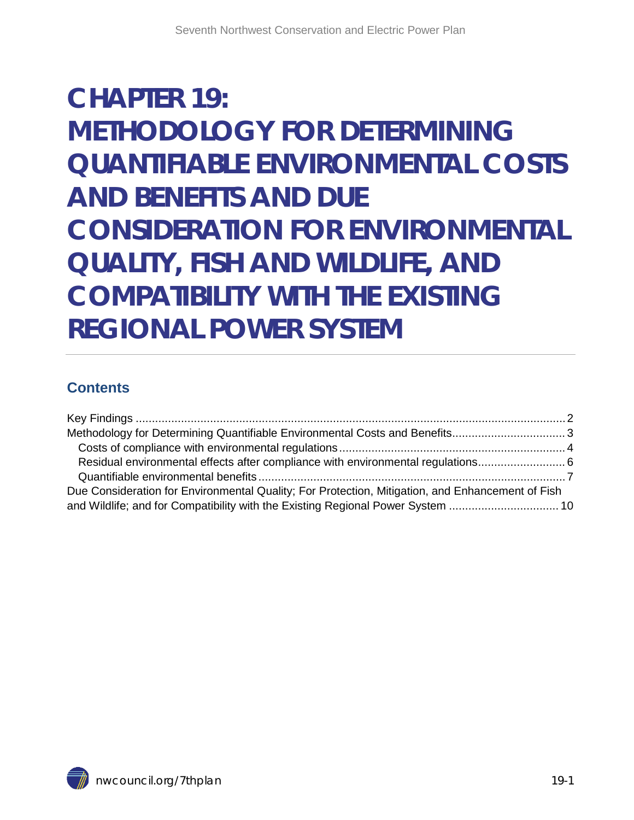# **CHAPTER 19: METHODOLOGY FOR DETERMINING QUANTIFIABLE ENVIRONMENTAL COSTS AND BENEFITS AND DUE CONSIDERATION FOR ENVIRONMENTAL QUALITY, FISH AND WILDLIFE, AND COMPATIBILITY WITH THE EXISTING REGIONAL POWER SYSTEM**

#### **Contents**

| Residual environmental effects after compliance with environmental regulations                   |
|--------------------------------------------------------------------------------------------------|
|                                                                                                  |
| Due Consideration for Environmental Quality; For Protection, Mitigation, and Enhancement of Fish |
| and Wildlife; and for Compatibility with the Existing Regional Power System 10                   |
|                                                                                                  |

<span id="page-0-0"></span>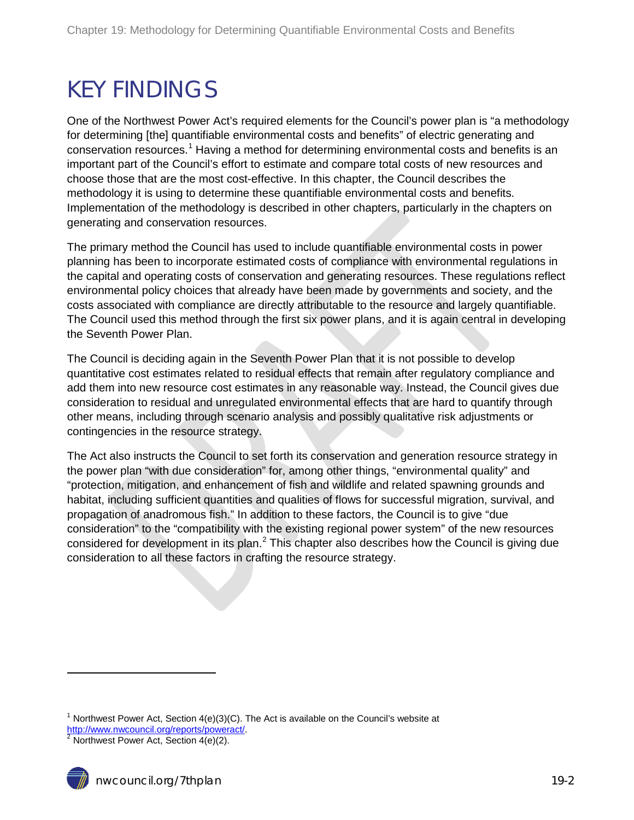### <span id="page-1-0"></span>KEY FINDINGS

One of the Northwest Power Act's required elements for the Council's power plan is "a methodology for determining [the] quantifiable environmental costs and benefits" of electric generating and conservation resources.<sup>[1](#page-0-0)</sup> Having a method for determining environmental costs and benefits is an important part of the Council's effort to estimate and compare total costs of new resources and choose those that are the most cost-effective. In this chapter, the Council describes the methodology it is using to determine these quantifiable environmental costs and benefits. Implementation of the methodology is described in other chapters, particularly in the chapters on generating and conservation resources.

The primary method the Council has used to include quantifiable environmental costs in power planning has been to incorporate estimated costs of compliance with environmental regulations in the capital and operating costs of conservation and generating resources. These regulations reflect environmental policy choices that already have been made by governments and society, and the costs associated with compliance are directly attributable to the resource and largely quantifiable. The Council used this method through the first six power plans, and it is again central in developing the Seventh Power Plan.

The Council is deciding again in the Seventh Power Plan that it is not possible to develop quantitative cost estimates related to residual effects that remain after regulatory compliance and add them into new resource cost estimates in any reasonable way. Instead, the Council gives due consideration to residual and unregulated environmental effects that are hard to quantify through other means, including through scenario analysis and possibly qualitative risk adjustments or contingencies in the resource strategy.

<span id="page-1-2"></span>The Act also instructs the Council to set forth its conservation and generation resource strategy in the power plan "with due consideration" for, among other things, "environmental quality" and "protection, mitigation, and enhancement of fish and wildlife and related spawning grounds and habitat, including sufficient quantities and qualities of flows for successful migration, survival, and propagation of anadromous fish." In addition to these factors, the Council is to give "due consideration" to the "compatibility with the existing regional power system" of the new resources considered for development in its plan. $<sup>2</sup>$  $<sup>2</sup>$  $<sup>2</sup>$  This chapter also describes how the Council is giving due</sup> consideration to all these factors in crafting the resource strategy.

 $\ddot{\phantom{a}}$ 

<sup>&</sup>lt;sup>1</sup> Northwest Power Act, Section  $4(e)(3)(C)$ . The Act is available on the Council's website at [http://www.nwcouncil.org/reports/poweract/.](http://www.nwcouncil.org/reports/poweract/)<br><sup>[2](http://www.nwcouncil.org/reports/poweract/)</sup> Northwest Power Act, Section 4(e)(2).

<span id="page-1-1"></span>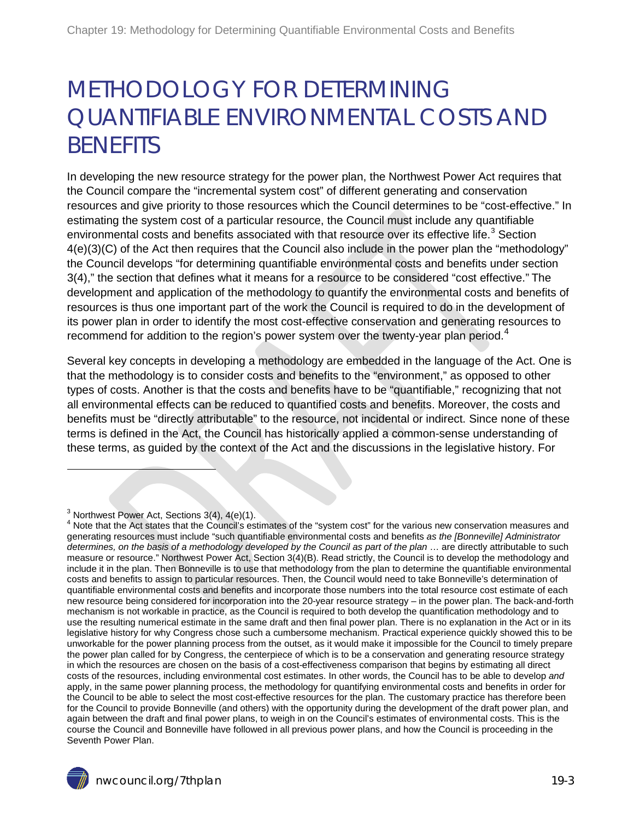## <span id="page-2-0"></span>METHODOLOGY FOR DETERMINING QUANTIFIABLE ENVIRONMENTAL COSTS AND **BENFFITS**

In developing the new resource strategy for the power plan, the Northwest Power Act requires that the Council compare the "incremental system cost" of different generating and conservation resources and give priority to those resources which the Council determines to be "cost-effective." In estimating the system cost of a particular resource, the Council must include any quantifiable environmental costs and benefits associated with that resource over its effective life.<sup>[3](#page-1-2)</sup> Section 4(e)(3)(C) of the Act then requires that the Council also include in the power plan the "methodology" the Council develops "for determining quantifiable environmental costs and benefits under section 3(4)," the section that defines what it means for a resource to be considered "cost effective." The development and application of the methodology to quantify the environmental costs and benefits of resources is thus one important part of the work the Council is required to do in the development of its power plan in order to identify the most cost-effective conservation and generating resources to recommend for addition to the region's power system over the twenty-year plan period.<sup>[4](#page-2-1)</sup>

Several key concepts in developing a methodology are embedded in the language of the Act. One is that the methodology is to consider costs and benefits to the "environment," as opposed to other types of costs. Another is that the costs and benefits have to be "quantifiable," recognizing that not all environmental effects can be reduced to quantified costs and benefits. Moreover, the costs and benefits must be "directly attributable" to the resource, not incidental or indirect. Since none of these terms is defined in the Act, the Council has historically applied a common-sense understanding of these terms, as guided by the context of the Act and the discussions in the legislative history. For

 $\ddot{\phantom{a}}$ 

<span id="page-2-2"></span><span id="page-2-1"></span> $^3$  Northwest Power Act, Sections 3(4), 4(e)(1).<br><sup>4</sup> Note that the Act states that the Council's estimates of the "system cost" for the various new conservation measures and generating resources must include "such quantifiable environmental costs and benefits *as the [Bonneville] Administrator determines, on the basis of a methodology developed by the Council as part of the plan* … are directly attributable to such measure or resource." Northwest Power Act, Section 3(4)(B). Read strictly, the Council is to develop the methodology and include it in the plan. Then Bonneville is to use that methodology from the plan to determine the quantifiable environmental costs and benefits to assign to particular resources. Then, the Council would need to take Bonneville's determination of quantifiable environmental costs and benefits and incorporate those numbers into the total resource cost estimate of each new resource being considered for incorporation into the 20-year resource strategy – in the power plan. The back-and-forth mechanism is not workable in practice, as the Council is required to both develop the quantification methodology and to use the resulting numerical estimate in the same draft and then final power plan. There is no explanation in the Act or in its legislative history for why Congress chose such a cumbersome mechanism. Practical experience quickly showed this to be unworkable for the power planning process from the outset, as it would make it impossible for the Council to timely prepare the power plan called for by Congress, the centerpiece of which is to be a conservation and generating resource strategy in which the resources are chosen on the basis of a cost-effectiveness comparison that begins by estimating all direct costs of the resources, including environmental cost estimates. In other words, the Council has to be able to develop *and* apply, in the same power planning process, the methodology for quantifying environmental costs and benefits in order for the Council to be able to select the most cost-effective resources for the plan. The customary practice has therefore been for the Council to provide Bonneville (and others) with the opportunity during the development of the draft power plan, and again between the draft and final power plans, to weigh in on the Council's estimates of environmental costs. This is the course the Council and Bonneville have followed in all previous power plans, and how the Council is proceeding in the Seventh Power Plan.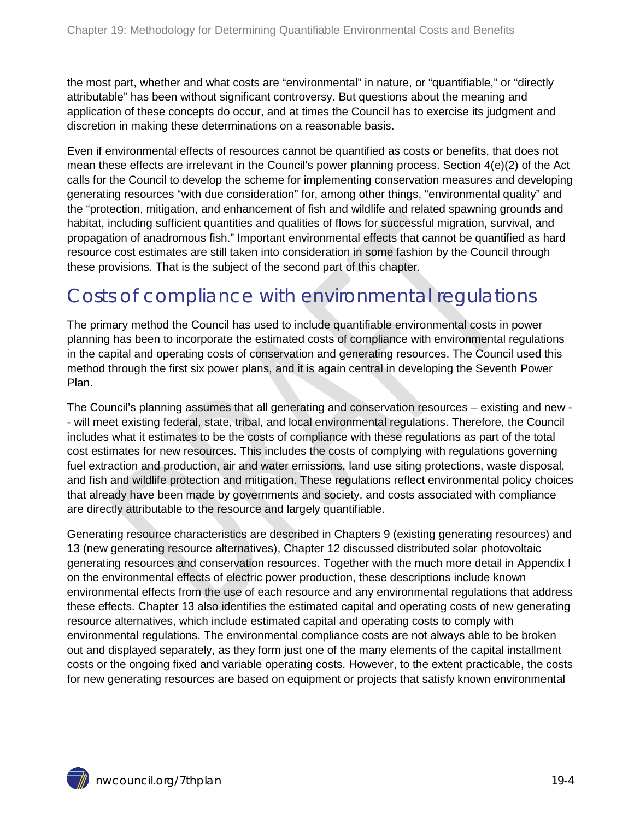the most part, whether and what costs are "environmental" in nature, or "quantifiable," or "directly attributable" has been without significant controversy. But questions about the meaning and application of these concepts do occur, and at times the Council has to exercise its judgment and discretion in making these determinations on a reasonable basis.

Even if environmental effects of resources cannot be quantified as costs or benefits, that does not mean these effects are irrelevant in the Council's power planning process. Section 4(e)(2) of the Act calls for the Council to develop the scheme for implementing conservation measures and developing generating resources "with due consideration" for, among other things, "environmental quality" and the "protection, mitigation, and enhancement of fish and wildlife and related spawning grounds and habitat, including sufficient quantities and qualities of flows for successful migration, survival, and propagation of anadromous fish." Important environmental effects that cannot be quantified as hard resource cost estimates are still taken into consideration in some fashion by the Council through these provisions. That is the subject of the second part of this chapter.

### <span id="page-3-0"></span>Costs of compliance with environmental regulations

The primary method the Council has used to include quantifiable environmental costs in power planning has been to incorporate the estimated costs of compliance with environmental regulations in the capital and operating costs of conservation and generating resources. The Council used this method through the first six power plans, and it is again central in developing the Seventh Power Plan.

The Council's planning assumes that all generating and conservation resources – existing and new - - will meet existing federal, state, tribal, and local environmental regulations. Therefore, the Council includes what it estimates to be the costs of compliance with these regulations as part of the total cost estimates for new resources. This includes the costs of complying with regulations governing fuel extraction and production, air and water emissions, land use siting protections, waste disposal, and fish and wildlife protection and mitigation. These regulations reflect environmental policy choices that already have been made by governments and society, and costs associated with compliance are directly attributable to the resource and largely quantifiable.

Generating resource characteristics are described in Chapters 9 (existing generating resources) and 13 (new generating resource alternatives), Chapter 12 discussed distributed solar photovoltaic generating resources and conservation resources. Together with the much more detail in Appendix I on the environmental effects of electric power production, these descriptions include known environmental effects from the use of each resource and any environmental regulations that address these effects. Chapter 13 also identifies the estimated capital and operating costs of new generating resource alternatives, which include estimated capital and operating costs to comply with environmental regulations. The environmental compliance costs are not always able to be broken out and displayed separately, as they form just one of the many elements of the capital installment costs or the ongoing fixed and variable operating costs. However, to the extent practicable, the costs for new generating resources are based on equipment or projects that satisfy known environmental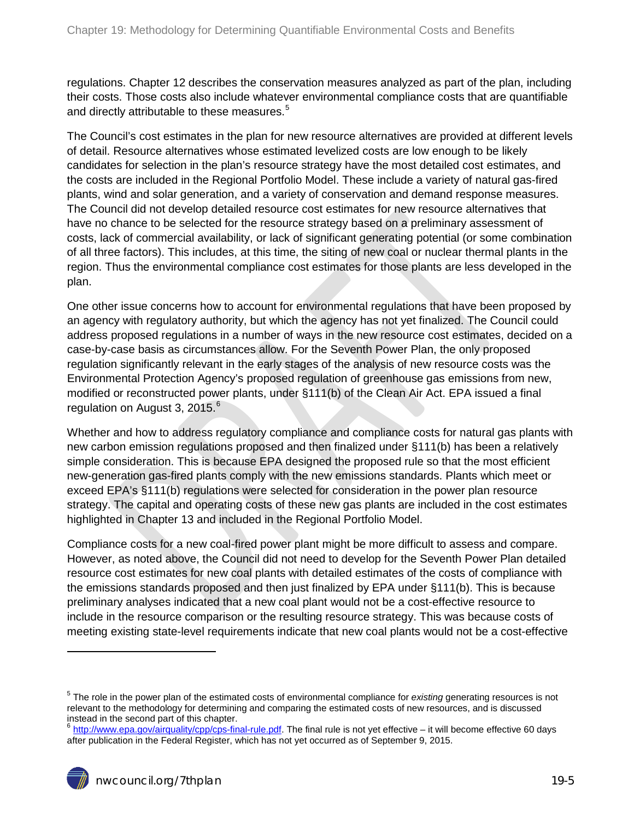regulations. Chapter 12 describes the conservation measures analyzed as part of the plan, including their costs. Those costs also include whatever environmental compliance costs that are quantifiable and directly attributable to these measures.<sup>[5](#page-2-2)</sup>

The Council's cost estimates in the plan for new resource alternatives are provided at different levels of detail. Resource alternatives whose estimated levelized costs are low enough to be likely candidates for selection in the plan's resource strategy have the most detailed cost estimates, and the costs are included in the Regional Portfolio Model. These include a variety of natural gas-fired plants, wind and solar generation, and a variety of conservation and demand response measures. The Council did not develop detailed resource cost estimates for new resource alternatives that have no chance to be selected for the resource strategy based on a preliminary assessment of costs, lack of commercial availability, or lack of significant generating potential (or some combination of all three factors). This includes, at this time, the siting of new coal or nuclear thermal plants in the region. Thus the environmental compliance cost estimates for those plants are less developed in the plan.

One other issue concerns how to account for environmental regulations that have been proposed by an agency with regulatory authority, but which the agency has not yet finalized. The Council could address proposed regulations in a number of ways in the new resource cost estimates, decided on a case-by-case basis as circumstances allow. For the Seventh Power Plan, the only proposed regulation significantly relevant in the early stages of the analysis of new resource costs was the Environmental Protection Agency's proposed regulation of greenhouse gas emissions from new, modified or reconstructed power plants, under §111(b) of the Clean Air Act. EPA issued a final regulation on August 3, 2015. $^6$  $^6$ 

Whether and how to address regulatory compliance and compliance costs for natural gas plants with new carbon emission regulations proposed and then finalized under §111(b) has been a relatively simple consideration. This is because EPA designed the proposed rule so that the most efficient new-generation gas-fired plants comply with the new emissions standards. Plants which meet or exceed EPA's §111(b) regulations were selected for consideration in the power plan resource strategy. The capital and operating costs of these new gas plants are included in the cost estimates highlighted in Chapter 13 and included in the Regional Portfolio Model.

Compliance costs for a new coal-fired power plant might be more difficult to assess and compare. However, as noted above, the Council did not need to develop for the Seventh Power Plan detailed resource cost estimates for new coal plants with detailed estimates of the costs of compliance with the emissions standards proposed and then just finalized by EPA under §111(b). This is because preliminary analyses indicated that a new coal plant would not be a cost-effective resource to include in the resource comparison or the resulting resource strategy. This was because costs of meeting existing state-level requirements indicate that new coal plants would not be a cost-effective

 $\ddot{\phantom{a}}$ 

<span id="page-4-1"></span><sup>5</sup> The role in the power plan of the estimated costs of environmental compliance for *existing* generating resources is not relevant to the methodology for determining and comparing the estimated costs of new resources, and is discussed instead in the second part of this chapter.

<span id="page-4-0"></span><sup>&</sup>lt;sup>6</sup> [http://www.epa.gov/airquality/cpp/cps-final-rule.pdf.](http://www.epa.gov/airquality/cpp/cps-final-rule.pdf) The final rule is not yet effective – it will become effective 60 days after publication in the Federal Register, which has not yet occurred as of September 9, 2015.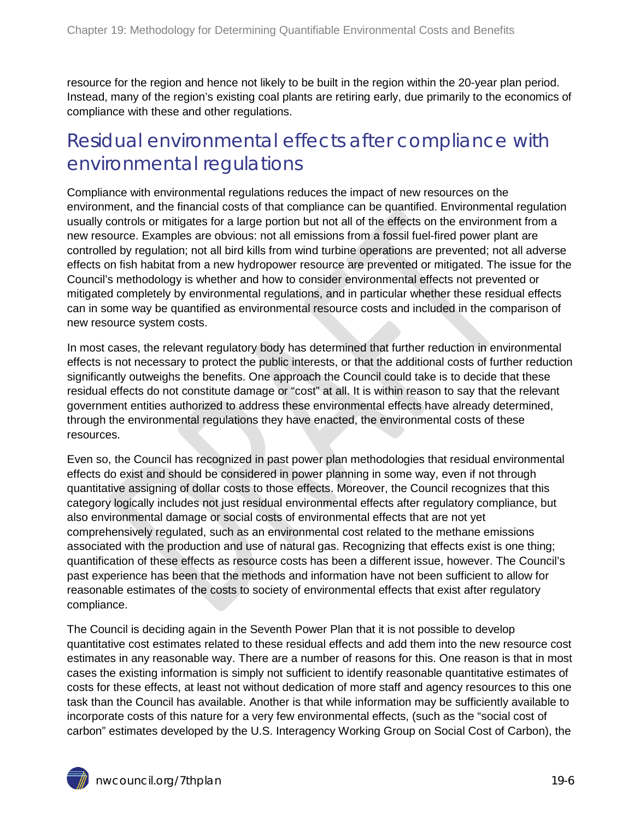resource for the region and hence not likely to be built in the region within the 20-year plan period. Instead, many of the region's existing coal plants are retiring early, due primarily to the economics of compliance with these and other regulations.

#### <span id="page-5-0"></span>Residual environmental effects after compliance with environmental regulations

Compliance with environmental regulations reduces the impact of new resources on the environment, and the financial costs of that compliance can be quantified. Environmental regulation usually controls or mitigates for a large portion but not all of the effects on the environment from a new resource. Examples are obvious: not all emissions from a fossil fuel-fired power plant are controlled by regulation; not all bird kills from wind turbine operations are prevented; not all adverse effects on fish habitat from a new hydropower resource are prevented or mitigated. The issue for the Council's methodology is whether and how to consider environmental effects not prevented or mitigated completely by environmental regulations, and in particular whether these residual effects can in some way be quantified as environmental resource costs and included in the comparison of new resource system costs.

In most cases, the relevant regulatory body has determined that further reduction in environmental effects is not necessary to protect the public interests, or that the additional costs of further reduction significantly outweighs the benefits. One approach the Council could take is to decide that these residual effects do not constitute damage or "cost" at all. It is within reason to say that the relevant government entities authorized to address these environmental effects have already determined, through the environmental regulations they have enacted, the environmental costs of these resources.

Even so, the Council has recognized in past power plan methodologies that residual environmental effects do exist and should be considered in power planning in some way, even if not through quantitative assigning of dollar costs to those effects. Moreover, the Council recognizes that this category logically includes not just residual environmental effects after regulatory compliance, but also environmental damage or social costs of environmental effects that are not yet comprehensively regulated, such as an environmental cost related to the methane emissions associated with the production and use of natural gas. Recognizing that effects exist is one thing; quantification of these effects as resource costs has been a different issue, however. The Council's past experience has been that the methods and information have not been sufficient to allow for reasonable estimates of the costs to society of environmental effects that exist after regulatory compliance.

The Council is deciding again in the Seventh Power Plan that it is not possible to develop quantitative cost estimates related to these residual effects and add them into the new resource cost estimates in any reasonable way. There are a number of reasons for this. One reason is that in most cases the existing information is simply not sufficient to identify reasonable quantitative estimates of costs for these effects, at least not without dedication of more staff and agency resources to this one task than the Council has available. Another is that while information may be sufficiently available to incorporate costs of this nature for a very few environmental effects, (such as the "social cost of carbon" estimates developed by the U.S. Interagency Working Group on Social Cost of Carbon), the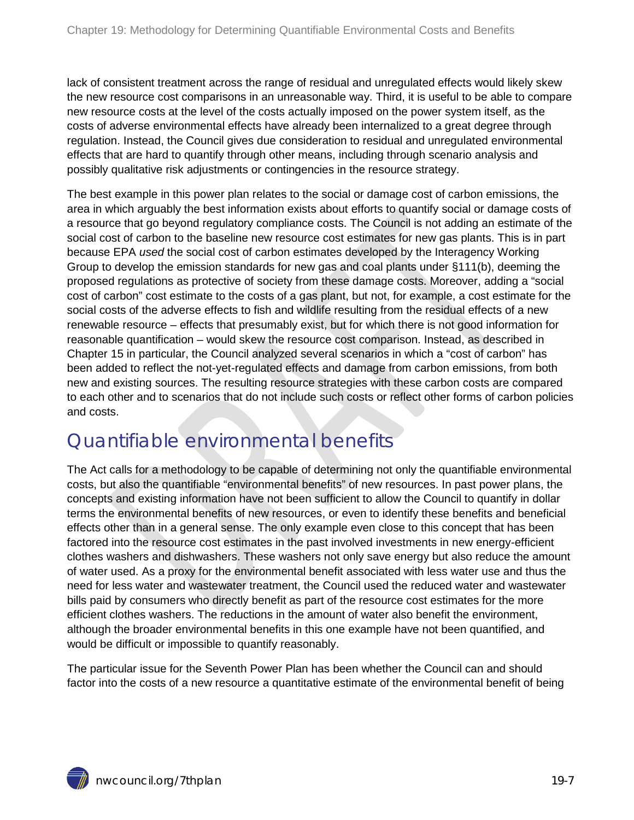lack of consistent treatment across the range of residual and unregulated effects would likely skew the new resource cost comparisons in an unreasonable way. Third, it is useful to be able to compare new resource costs at the level of the costs actually imposed on the power system itself, as the costs of adverse environmental effects have already been internalized to a great degree through regulation. Instead, the Council gives due consideration to residual and unregulated environmental effects that are hard to quantify through other means, including through scenario analysis and possibly qualitative risk adjustments or contingencies in the resource strategy.

The best example in this power plan relates to the social or damage cost of carbon emissions, the area in which arguably the best information exists about efforts to quantify social or damage costs of a resource that go beyond regulatory compliance costs. The Council is not adding an estimate of the social cost of carbon to the baseline new resource cost estimates for new gas plants. This is in part because EPA *used* the social cost of carbon estimates developed by the Interagency Working Group to develop the emission standards for new gas and coal plants under §111(b), deeming the proposed regulations as protective of society from these damage costs. Moreover, adding a "social cost of carbon" cost estimate to the costs of a gas plant, but not, for example, a cost estimate for the social costs of the adverse effects to fish and wildlife resulting from the residual effects of a new renewable resource – effects that presumably exist, but for which there is not good information for reasonable quantification – would skew the resource cost comparison. Instead, as described in Chapter 15 in particular, the Council analyzed several scenarios in which a "cost of carbon" has been added to reflect the not-yet-regulated effects and damage from carbon emissions, from both new and existing sources. The resulting resource strategies with these carbon costs are compared to each other and to scenarios that do not include such costs or reflect other forms of carbon policies and costs.

#### <span id="page-6-0"></span>Quantifiable environmental benefits

The Act calls for a methodology to be capable of determining not only the quantifiable environmental costs, but also the quantifiable "environmental benefits" of new resources. In past power plans, the concepts and existing information have not been sufficient to allow the Council to quantify in dollar terms the environmental benefits of new resources, or even to identify these benefits and beneficial effects other than in a general sense. The only example even close to this concept that has been factored into the resource cost estimates in the past involved investments in new energy-efficient clothes washers and dishwashers. These washers not only save energy but also reduce the amount of water used. As a proxy for the environmental benefit associated with less water use and thus the need for less water and wastewater treatment, the Council used the reduced water and wastewater bills paid by consumers who directly benefit as part of the resource cost estimates for the more efficient clothes washers. The reductions in the amount of water also benefit the environment, although the broader environmental benefits in this one example have not been quantified, and would be difficult or impossible to quantify reasonably.

The particular issue for the Seventh Power Plan has been whether the Council can and should factor into the costs of a new resource a quantitative estimate of the environmental benefit of being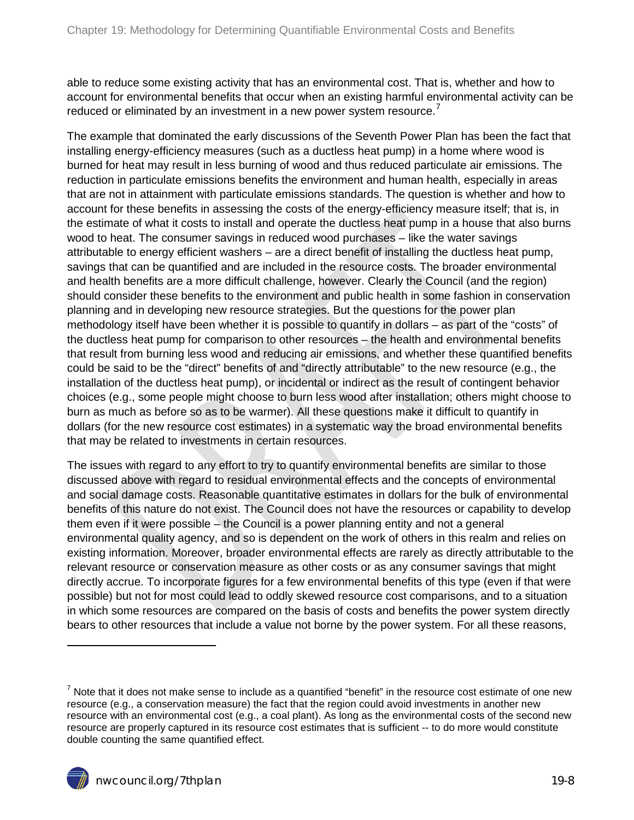able to reduce some existing activity that has an environmental cost. That is, whether and how to account for environmental benefits that occur when an existing harmful environmental activity can be reduced or eliminated by an investment in a new power system resource.<sup>[7](#page-4-1)</sup>

The example that dominated the early discussions of the Seventh Power Plan has been the fact that installing energy-efficiency measures (such as a ductless heat pump) in a home where wood is burned for heat may result in less burning of wood and thus reduced particulate air emissions. The reduction in particulate emissions benefits the environment and human health, especially in areas that are not in attainment with particulate emissions standards. The question is whether and how to account for these benefits in assessing the costs of the energy-efficiency measure itself; that is, in the estimate of what it costs to install and operate the ductless heat pump in a house that also burns wood to heat. The consumer savings in reduced wood purchases – like the water savings attributable to energy efficient washers – are a direct benefit of installing the ductless heat pump, savings that can be quantified and are included in the resource costs. The broader environmental and health benefits are a more difficult challenge, however. Clearly the Council (and the region) should consider these benefits to the environment and public health in some fashion in conservation planning and in developing new resource strategies. But the questions for the power plan methodology itself have been whether it is possible to quantify in dollars – as part of the "costs" of the ductless heat pump for comparison to other resources – the health and environmental benefits that result from burning less wood and reducing air emissions, and whether these quantified benefits could be said to be the "direct" benefits of and "directly attributable" to the new resource (e.g., the installation of the ductless heat pump), or incidental or indirect as the result of contingent behavior choices (e.g., some people might choose to burn less wood after installation; others might choose to burn as much as before so as to be warmer). All these questions make it difficult to quantify in dollars (for the new resource cost estimates) in a systematic way the broad environmental benefits that may be related to investments in certain resources.

The issues with regard to any effort to try to quantify environmental benefits are similar to those discussed above with regard to residual environmental effects and the concepts of environmental and social damage costs. Reasonable quantitative estimates in dollars for the bulk of environmental benefits of this nature do not exist. The Council does not have the resources or capability to develop them even if it were possible – the Council is a power planning entity and not a general environmental quality agency, and so is dependent on the work of others in this realm and relies on existing information. Moreover, broader environmental effects are rarely as directly attributable to the relevant resource or conservation measure as other costs or as any consumer savings that might directly accrue. To incorporate figures for a few environmental benefits of this type (even if that were possible) but not for most could lead to oddly skewed resource cost comparisons, and to a situation in which some resources are compared on the basis of costs and benefits the power system directly bears to other resources that include a value not borne by the power system. For all these reasons,

<span id="page-7-0"></span> $<sup>7</sup>$  Note that it does not make sense to include as a quantified "benefit" in the resource cost estimate of one new</sup> resource (e.g., a conservation measure) the fact that the region could avoid investments in another new resource with an environmental cost (e.g., a coal plant). As long as the environmental costs of the second new resource are properly captured in its resource cost estimates that is sufficient -- to do more would constitute double counting the same quantified effect.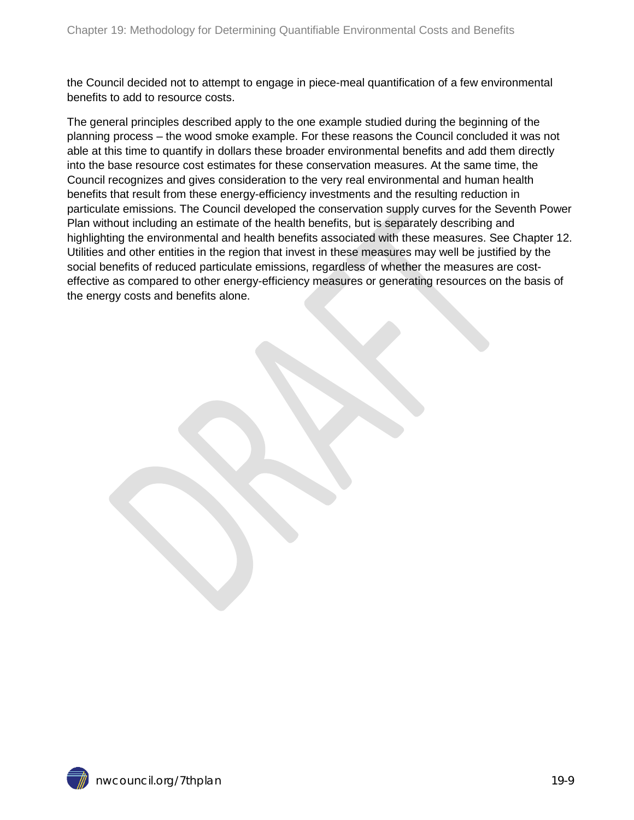the Council decided not to attempt to engage in piece-meal quantification of a few environmental benefits to add to resource costs.

The general principles described apply to the one example studied during the beginning of the planning process – the wood smoke example. For these reasons the Council concluded it was not able at this time to quantify in dollars these broader environmental benefits and add them directly into the base resource cost estimates for these conservation measures. At the same time, the Council recognizes and gives consideration to the very real environmental and human health benefits that result from these energy-efficiency investments and the resulting reduction in particulate emissions. The Council developed the conservation supply curves for the Seventh Power Plan without including an estimate of the health benefits, but is separately describing and highlighting the environmental and health benefits associated with these measures. See Chapter 12. Utilities and other entities in the region that invest in these measures may well be justified by the social benefits of reduced particulate emissions, regardless of whether the measures are costeffective as compared to other energy-efficiency measures or generating resources on the basis of the energy costs and benefits alone.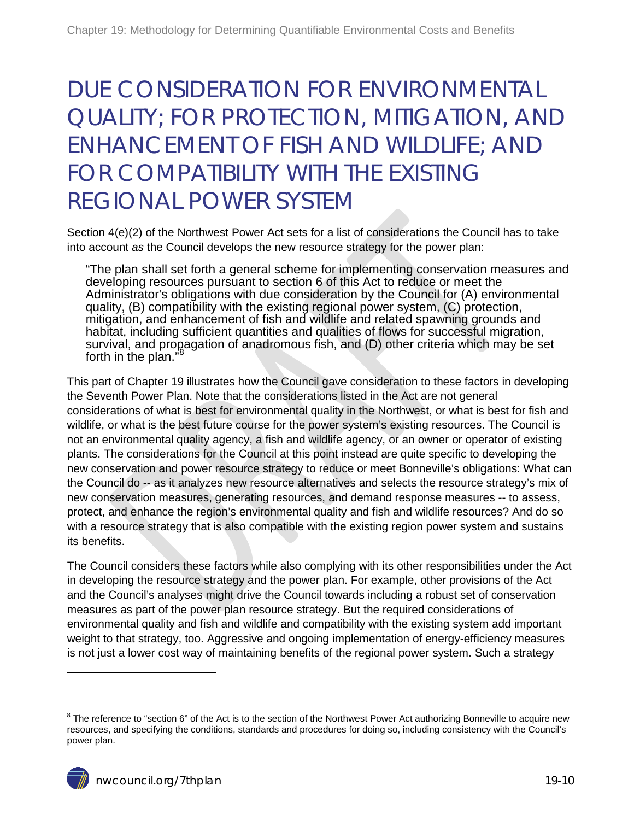### <span id="page-9-0"></span>DUE CONSIDERATION FOR ENVIRONMENTAL QUALITY; FOR PROTECTION, MITIGATION, AND ENHANCEMENT OF FISH AND WILDLIFE; AND FOR COMPATIBILITY WITH THE EXISTING REGIONAL POWER SYSTEM

Section 4(e)(2) of the Northwest Power Act sets for a list of considerations the Council has to take into account *as* the Council develops the new resource strategy for the power plan:

"The plan shall set forth a general scheme for implementing conservation measures and developing resources pursuant to section 6 of this Act to reduce or meet the Administrator's obligations with due consideration by the Council for (A) environmental quality, (B) compatibility with the existing regional power system, (C) protection, mitigation, and enhancement of fish and wildlife and related spawning grounds and habitat, including sufficient quantities and qualities of flows for successful migration, survival, and propagation of anadromous fish, and (D) other criteria which may be set<br>forth in the plan," forth in the plan."

This part of Chapter 19 illustrates how the Council gave consideration to these factors in developing the Seventh Power Plan. Note that the considerations listed in the Act are not general considerations of what is best for environmental quality in the Northwest, or what is best for fish and wildlife, or what is the best future course for the power system's existing resources. The Council is not an environmental quality agency, a fish and wildlife agency, or an owner or operator of existing plants. The considerations for the Council at this point instead are quite specific to developing the new conservation and power resource strategy to reduce or meet Bonneville's obligations: What can the Council do -- as it analyzes new resource alternatives and selects the resource strategy's mix of new conservation measures, generating resources, and demand response measures -- to assess, protect, and enhance the region's environmental quality and fish and wildlife resources? And do so with a resource strategy that is also compatible with the existing region power system and sustains its benefits.

The Council considers these factors while also complying with its other responsibilities under the Act in developing the resource strategy and the power plan. For example, other provisions of the Act and the Council's analyses might drive the Council towards including a robust set of conservation measures as part of the power plan resource strategy. But the required considerations of environmental quality and fish and wildlife and compatibility with the existing system add important weight to that strategy, too. Aggressive and ongoing implementation of energy-efficiency measures is not just a lower cost way of maintaining benefits of the regional power system. Such a strategy

<span id="page-9-1"></span><sup>&</sup>lt;sup>8</sup> The reference to "section 6" of the Act is to the section of the Northwest Power Act authorizing Bonneville to acquire new resources, and specifying the conditions, standards and procedures for doing so, including consistency with the Council's power plan.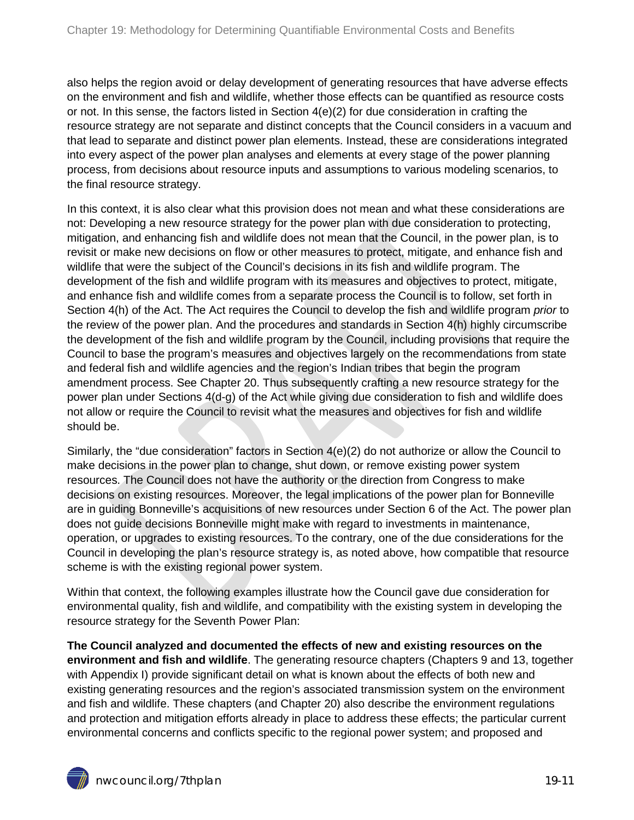also helps the region avoid or delay development of generating resources that have adverse effects on the environment and fish and wildlife, whether those effects can be quantified as resource costs or not. In this sense, the factors listed in Section 4(e)(2) for due consideration in crafting the resource strategy are not separate and distinct concepts that the Council considers in a vacuum and that lead to separate and distinct power plan elements. Instead, these are considerations integrated into every aspect of the power plan analyses and elements at every stage of the power planning process, from decisions about resource inputs and assumptions to various modeling scenarios, to the final resource strategy.

In this context, it is also clear what this provision does not mean and what these considerations are not: Developing a new resource strategy for the power plan with due consideration to protecting, mitigation, and enhancing fish and wildlife does not mean that the Council, in the power plan, is to revisit or make new decisions on flow or other measures to protect, mitigate, and enhance fish and wildlife that were the subject of the Council's decisions in its fish and wildlife program. The development of the fish and wildlife program with its measures and objectives to protect, mitigate, and enhance fish and wildlife comes from a separate process the Council is to follow, set forth in Section 4(h) of the Act. The Act requires the Council to develop the fish and wildlife program *prior* to the review of the power plan. And the procedures and standards in Section 4(h) highly circumscribe the development of the fish and wildlife program by the Council, including provisions that require the Council to base the program's measures and objectives largely on the recommendations from state and federal fish and wildlife agencies and the region's Indian tribes that begin the program amendment process. See Chapter 20. Thus subsequently crafting a new resource strategy for the power plan under Sections 4(d-g) of the Act while giving due consideration to fish and wildlife does not allow or require the Council to revisit what the measures and objectives for fish and wildlife should be.

Similarly, the "due consideration" factors in Section 4(e)(2) do not authorize or allow the Council to make decisions in the power plan to change, shut down, or remove existing power system resources. The Council does not have the authority or the direction from Congress to make decisions on existing resources. Moreover, the legal implications of the power plan for Bonneville are in guiding Bonneville's acquisitions of new resources under Section 6 of the Act. The power plan does not guide decisions Bonneville might make with regard to investments in maintenance, operation, or upgrades to existing resources. To the contrary, one of the due considerations for the Council in developing the plan's resource strategy is, as noted above, how compatible that resource scheme is with the existing regional power system.

Within that context, the following examples illustrate how the Council gave due consideration for environmental quality, fish and wildlife, and compatibility with the existing system in developing the resource strategy for the Seventh Power Plan:

**The Council analyzed and documented the effects of new and existing resources on the environment and fish and wildlife**. The generating resource chapters (Chapters 9 and 13, together with Appendix I) provide significant detail on what is known about the effects of both new and existing generating resources and the region's associated transmission system on the environment and fish and wildlife. These chapters (and Chapter 20) also describe the environment regulations and protection and mitigation efforts already in place to address these effects; the particular current environmental concerns and conflicts specific to the regional power system; and proposed and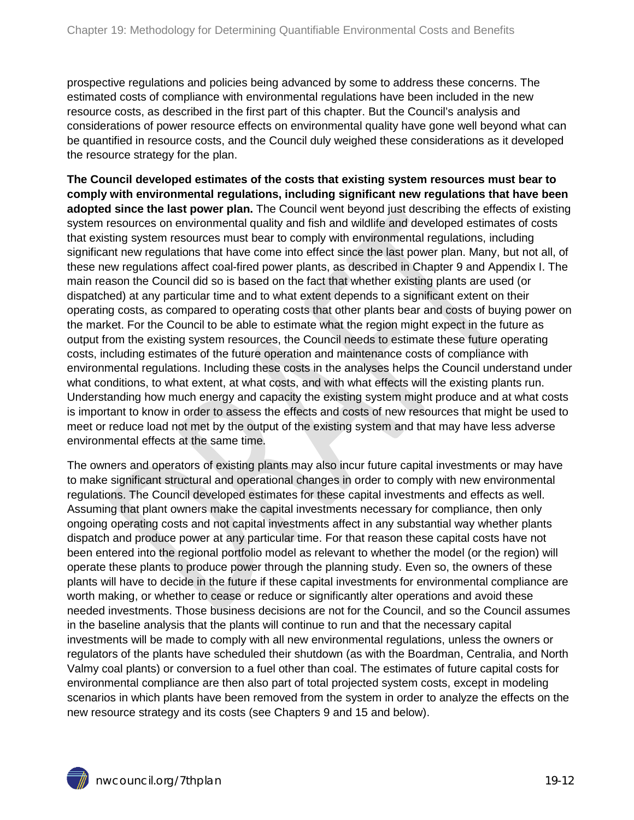prospective regulations and policies being advanced by some to address these concerns. The estimated costs of compliance with environmental regulations have been included in the new resource costs, as described in the first part of this chapter. But the Council's analysis and considerations of power resource effects on environmental quality have gone well beyond what can be quantified in resource costs, and the Council duly weighed these considerations as it developed the resource strategy for the plan.

**The Council developed estimates of the costs that existing system resources must bear to comply with environmental regulations, including significant new regulations that have been adopted since the last power plan.** The Council went beyond just describing the effects of existing system resources on environmental quality and fish and wildlife and developed estimates of costs that existing system resources must bear to comply with environmental regulations, including significant new regulations that have come into effect since the last power plan. Many, but not all, of these new regulations affect coal-fired power plants, as described in Chapter 9 and Appendix I. The main reason the Council did so is based on the fact that whether existing plants are used (or dispatched) at any particular time and to what extent depends to a significant extent on their operating costs, as compared to operating costs that other plants bear and costs of buying power on the market. For the Council to be able to estimate what the region might expect in the future as output from the existing system resources, the Council needs to estimate these future operating costs, including estimates of the future operation and maintenance costs of compliance with environmental regulations. Including these costs in the analyses helps the Council understand under what conditions, to what extent, at what costs, and with what effects will the existing plants run. Understanding how much energy and capacity the existing system might produce and at what costs is important to know in order to assess the effects and costs of new resources that might be used to meet or reduce load not met by the output of the existing system and that may have less adverse environmental effects at the same time.

The owners and operators of existing plants may also incur future capital investments or may have to make significant structural and operational changes in order to comply with new environmental regulations. The Council developed estimates for these capital investments and effects as well. Assuming that plant owners make the capital investments necessary for compliance, then only ongoing operating costs and not capital investments affect in any substantial way whether plants dispatch and produce power at any particular time. For that reason these capital costs have not been entered into the regional portfolio model as relevant to whether the model (or the region) will operate these plants to produce power through the planning study. Even so, the owners of these plants will have to decide in the future if these capital investments for environmental compliance are worth making, or whether to cease or reduce or significantly alter operations and avoid these needed investments. Those business decisions are not for the Council, and so the Council assumes in the baseline analysis that the plants will continue to run and that the necessary capital investments will be made to comply with all new environmental regulations, unless the owners or regulators of the plants have scheduled their shutdown (as with the Boardman, Centralia, and North Valmy coal plants) or conversion to a fuel other than coal. The estimates of future capital costs for environmental compliance are then also part of total projected system costs, except in modeling scenarios in which plants have been removed from the system in order to analyze the effects on the new resource strategy and its costs (see Chapters 9 and 15 and below).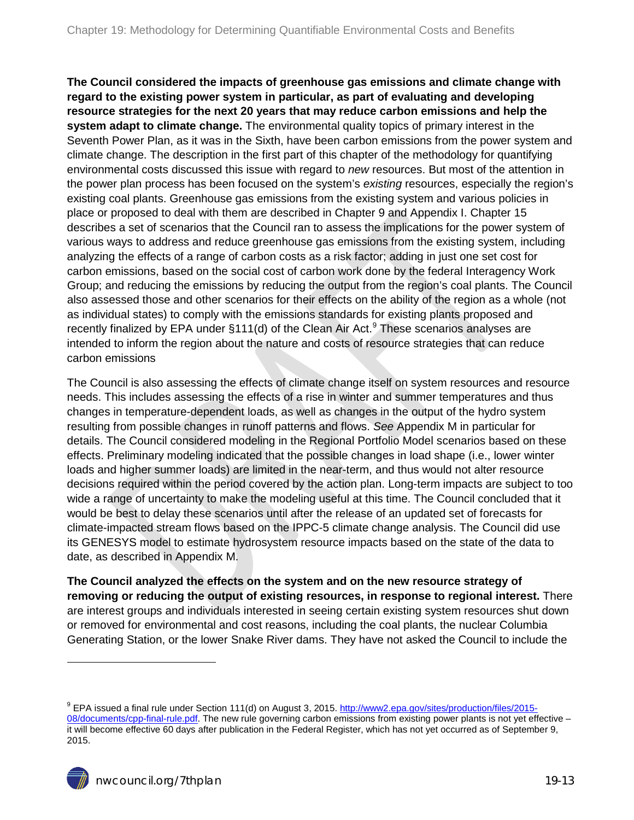**The Council considered the impacts of greenhouse gas emissions and climate change with regard to the existing power system in particular, as part of evaluating and developing resource strategies for the next 20 years that may reduce carbon emissions and help the system adapt to climate change.** The environmental quality topics of primary interest in the Seventh Power Plan, as it was in the Sixth, have been carbon emissions from the power system and climate change. The description in the first part of this chapter of the methodology for quantifying environmental costs discussed this issue with regard to *new* resources. But most of the attention in the power plan process has been focused on the system's *existing* resources, especially the region's existing coal plants. Greenhouse gas emissions from the existing system and various policies in place or proposed to deal with them are described in Chapter 9 and Appendix I. Chapter 15 describes a set of scenarios that the Council ran to assess the implications for the power system of various ways to address and reduce greenhouse gas emissions from the existing system, including analyzing the effects of a range of carbon costs as a risk factor; adding in just one set cost for carbon emissions, based on the social cost of carbon work done by the federal Interagency Work Group; and reducing the emissions by reducing the output from the region's coal plants. The Council also assessed those and other scenarios for their effects on the ability of the region as a whole (not as individual states) to comply with the emissions standards for existing plants proposed and recently finalized by EPA under §111(d) of the Clean Air Act.<sup>[9](#page-9-1)</sup> These scenarios analyses are intended to inform the region about the nature and costs of resource strategies that can reduce carbon emissions

The Council is also assessing the effects of climate change itself on system resources and resource needs. This includes assessing the effects of a rise in winter and summer temperatures and thus changes in temperature-dependent loads, as well as changes in the output of the hydro system resulting from possible changes in runoff patterns and flows. *See* Appendix M in particular for details. The Council considered modeling in the Regional Portfolio Model scenarios based on these effects. Preliminary modeling indicated that the possible changes in load shape (i.e., lower winter loads and higher summer loads) are limited in the near-term, and thus would not alter resource decisions required within the period covered by the action plan. Long-term impacts are subject to too wide a range of uncertainty to make the modeling useful at this time. The Council concluded that it would be best to delay these scenarios until after the release of an updated set of forecasts for climate-impacted stream flows based on the IPPC-5 climate change analysis. The Council did use its GENESYS model to estimate hydrosystem resource impacts based on the state of the data to date, as described in Appendix M.

**The Council analyzed the effects on the system and on the new resource strategy of removing or reducing the output of existing resources, in response to regional interest.** There are interest groups and individuals interested in seeing certain existing system resources shut down or removed for environmental and cost reasons, including the coal plants, the nuclear Columbia Generating Station, or the lower Snake River dams. They have not asked the Council to include the

<span id="page-12-0"></span><sup>&</sup>lt;sup>9</sup> EPA issued a final rule under Section 111(d) on August 3, 2015. [http://www2.epa.gov/sites/production/files/2015-](http://www2.epa.gov/sites/production/files/2015-08/documents/cpp-final-rule.pdf) [08/documents/cpp-final-rule.pdf.](http://www2.epa.gov/sites/production/files/2015-08/documents/cpp-final-rule.pdf) The new rule governing carbon emissions from existing power plants is not yet effective – it will become effective 60 days after publication in the Federal Register, which has not yet occurred as of September 9, 2015.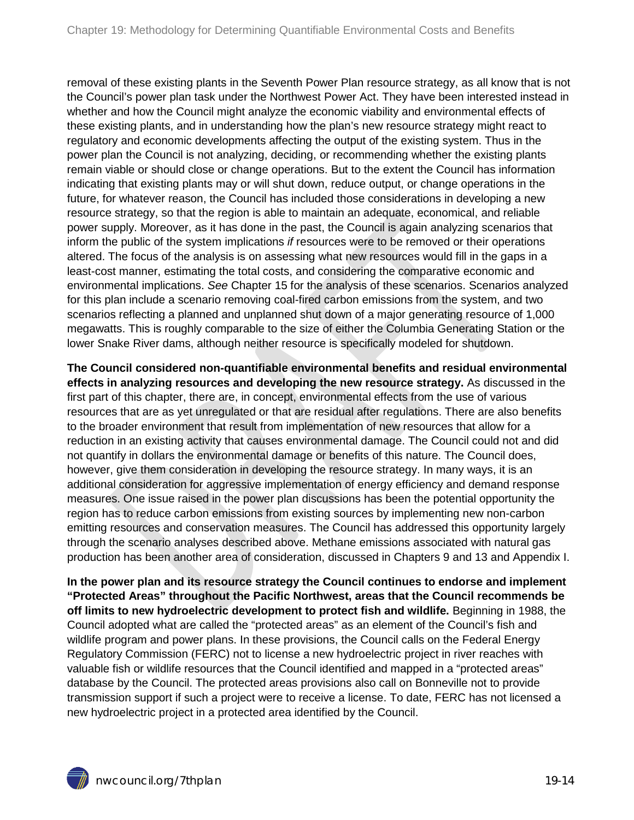removal of these existing plants in the Seventh Power Plan resource strategy, as all know that is not the Council's power plan task under the Northwest Power Act. They have been interested instead in whether and how the Council might analyze the economic viability and environmental effects of these existing plants, and in understanding how the plan's new resource strategy might react to regulatory and economic developments affecting the output of the existing system. Thus in the power plan the Council is not analyzing, deciding, or recommending whether the existing plants remain viable or should close or change operations. But to the extent the Council has information indicating that existing plants may or will shut down, reduce output, or change operations in the future, for whatever reason, the Council has included those considerations in developing a new resource strategy, so that the region is able to maintain an adequate, economical, and reliable power supply. Moreover, as it has done in the past, the Council is again analyzing scenarios that inform the public of the system implications *if* resources were to be removed or their operations altered. The focus of the analysis is on assessing what new resources would fill in the gaps in a least-cost manner, estimating the total costs, and considering the comparative economic and environmental implications. *See* Chapter 15 for the analysis of these scenarios. Scenarios analyzed for this plan include a scenario removing coal-fired carbon emissions from the system, and two scenarios reflecting a planned and unplanned shut down of a major generating resource of 1,000 megawatts. This is roughly comparable to the size of either the Columbia Generating Station or the lower Snake River dams, although neither resource is specifically modeled for shutdown.

**The Council considered non-quantifiable environmental benefits and residual environmental effects in analyzing resources and developing the new resource strategy.** As discussed in the first part of this chapter, there are, in concept, environmental effects from the use of various resources that are as yet unregulated or that are residual after regulations. There are also benefits to the broader environment that result from implementation of new resources that allow for a reduction in an existing activity that causes environmental damage. The Council could not and did not quantify in dollars the environmental damage or benefits of this nature. The Council does, however, give them consideration in developing the resource strategy. In many ways, it is an additional consideration for aggressive implementation of energy efficiency and demand response measures. One issue raised in the power plan discussions has been the potential opportunity the region has to reduce carbon emissions from existing sources by implementing new non-carbon emitting resources and conservation measures. The Council has addressed this opportunity largely through the scenario analyses described above. Methane emissions associated with natural gas production has been another area of consideration, discussed in Chapters 9 and 13 and Appendix I.

**In the power plan and its resource strategy the Council continues to endorse and implement "Protected Areas" throughout the Pacific Northwest, areas that the Council recommends be off limits to new hydroelectric development to protect fish and wildlife.** Beginning in 1988, the Council adopted what are called the "protected areas" as an element of the Council's fish and wildlife program and power plans. In these provisions, the Council calls on the Federal Energy Regulatory Commission (FERC) not to license a new hydroelectric project in river reaches with valuable fish or wildlife resources that the Council identified and mapped in a "protected areas" database by the Council. The protected areas provisions also call on Bonneville not to provide transmission support if such a project were to receive a license. To date, FERC has not licensed a new hydroelectric project in a protected area identified by the Council.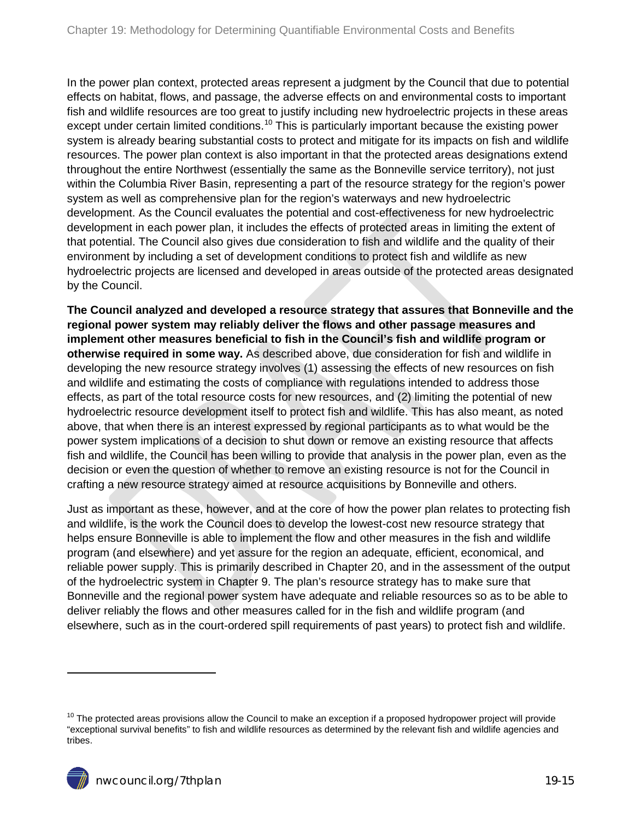In the power plan context, protected areas represent a judgment by the Council that due to potential effects on habitat, flows, and passage, the adverse effects on and environmental costs to important fish and wildlife resources are too great to justify including new hydroelectric projects in these areas except under certain limited conditions.<sup>[10](#page-12-0)</sup> This is particularly important because the existing power system is already bearing substantial costs to protect and mitigate for its impacts on fish and wildlife resources. The power plan context is also important in that the protected areas designations extend throughout the entire Northwest (essentially the same as the Bonneville service territory), not just within the Columbia River Basin, representing a part of the resource strategy for the region's power system as well as comprehensive plan for the region's waterways and new hydroelectric development. As the Council evaluates the potential and cost-effectiveness for new hydroelectric development in each power plan, it includes the effects of protected areas in limiting the extent of that potential. The Council also gives due consideration to fish and wildlife and the quality of their environment by including a set of development conditions to protect fish and wildlife as new hydroelectric projects are licensed and developed in areas outside of the protected areas designated by the Council.

**The Council analyzed and developed a resource strategy that assures that Bonneville and the regional power system may reliably deliver the flows and other passage measures and implement other measures beneficial to fish in the Council's fish and wildlife program or otherwise required in some way.** As described above, due consideration for fish and wildlife in developing the new resource strategy involves (1) assessing the effects of new resources on fish and wildlife and estimating the costs of compliance with regulations intended to address those effects, as part of the total resource costs for new resources, and (2) limiting the potential of new hydroelectric resource development itself to protect fish and wildlife. This has also meant, as noted above, that when there is an interest expressed by regional participants as to what would be the power system implications of a decision to shut down or remove an existing resource that affects fish and wildlife, the Council has been willing to provide that analysis in the power plan, even as the decision or even the question of whether to remove an existing resource is not for the Council in crafting a new resource strategy aimed at resource acquisitions by Bonneville and others.

Just as important as these, however, and at the core of how the power plan relates to protecting fish and wildlife, is the work the Council does to develop the lowest-cost new resource strategy that helps ensure Bonneville is able to implement the flow and other measures in the fish and wildlife program (and elsewhere) and yet assure for the region an adequate, efficient, economical, and reliable power supply. This is primarily described in Chapter 20, and in the assessment of the output of the hydroelectric system in Chapter 9. The plan's resource strategy has to make sure that Bonneville and the regional power system have adequate and reliable resources so as to be able to deliver reliably the flows and other measures called for in the fish and wildlife program (and elsewhere, such as in the court-ordered spill requirements of past years) to protect fish and wildlife.

<span id="page-14-0"></span> $10$  The protected areas provisions allow the Council to make an exception if a proposed hydropower project will provide "exceptional survival benefits" to fish and wildlife resources as determined by the relevant fish and wildlife agencies and tribes.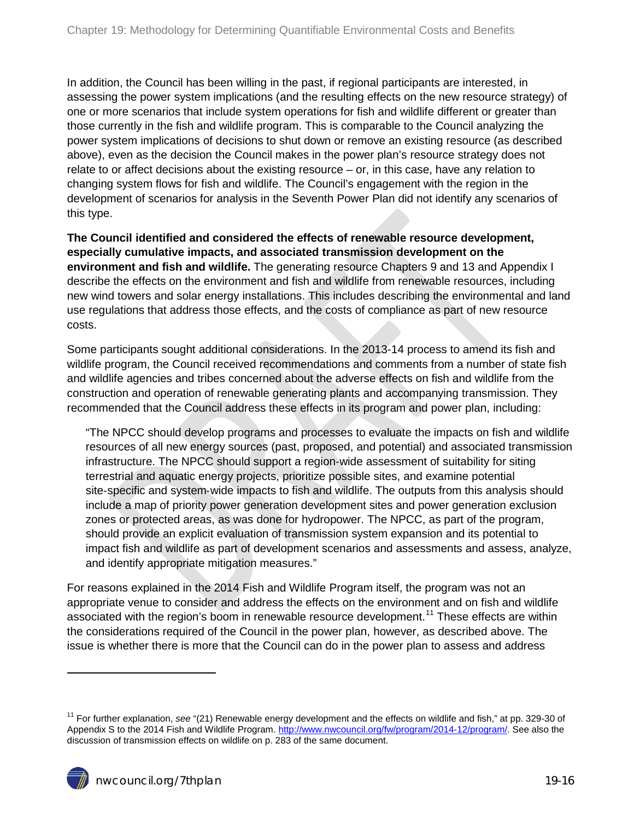In addition, the Council has been willing in the past, if regional participants are interested, in assessing the power system implications (and the resulting effects on the new resource strategy) of one or more scenarios that include system operations for fish and wildlife different or greater than those currently in the fish and wildlife program. This is comparable to the Council analyzing the power system implications of decisions to shut down or remove an existing resource (as described above), even as the decision the Council makes in the power plan's resource strategy does not relate to or affect decisions about the existing resource – or, in this case, have any relation to changing system flows for fish and wildlife. The Council's engagement with the region in the development of scenarios for analysis in the Seventh Power Plan did not identify any scenarios of this type.

**The Council identified and considered the effects of renewable resource development, especially cumulative impacts, and associated transmission development on the environment and fish and wildlife.** The generating resource Chapters 9 and 13 and Appendix I describe the effects on the environment and fish and wildlife from renewable resources, including new wind towers and solar energy installations. This includes describing the environmental and land use regulations that address those effects, and the costs of compliance as part of new resource costs.

Some participants sought additional considerations. In the 2013-14 process to amend its fish and wildlife program, the Council received recommendations and comments from a number of state fish and wildlife agencies and tribes concerned about the adverse effects on fish and wildlife from the construction and operation of renewable generating plants and accompanying transmission. They recommended that the Council address these effects in its program and power plan, including:

"The NPCC should develop programs and processes to evaluate the impacts on fish and wildlife resources of all new energy sources (past, proposed, and potential) and associated transmission infrastructure. The NPCC should support a region‐wide assessment of suitability for siting terrestrial and aquatic energy projects, prioritize possible sites, and examine potential site-specific and system-wide impacts to fish and wildlife. The outputs from this analysis should include a map of priority power generation development sites and power generation exclusion zones or protected areas, as was done for hydropower. The NPCC, as part of the program, should provide an explicit evaluation of transmission system expansion and its potential to impact fish and wildlife as part of development scenarios and assessments and assess, analyze, and identify appropriate mitigation measures."

For reasons explained in the 2014 Fish and Wildlife Program itself, the program was not an appropriate venue to consider and address the effects on the environment and on fish and wildlife associated with the region's boom in renewable resource development.<sup>[11](#page-14-0)</sup> These effects are within the considerations required of the Council in the power plan, however, as described above. The issue is whether there is more that the Council can do in the power plan to assess and address

<sup>11</sup> For further explanation, *see* "(21) Renewable energy development and the effects on wildlife and fish," at pp. 329-30 of Appendix S to the 2014 Fish and Wildlife Program. [http://www.nwcouncil.org/fw/program/2014-12/program/.](http://www.nwcouncil.org/fw/program/2014-12/program/) See also the discussion of transmission effects on wildlife on p. 283 of the same document.